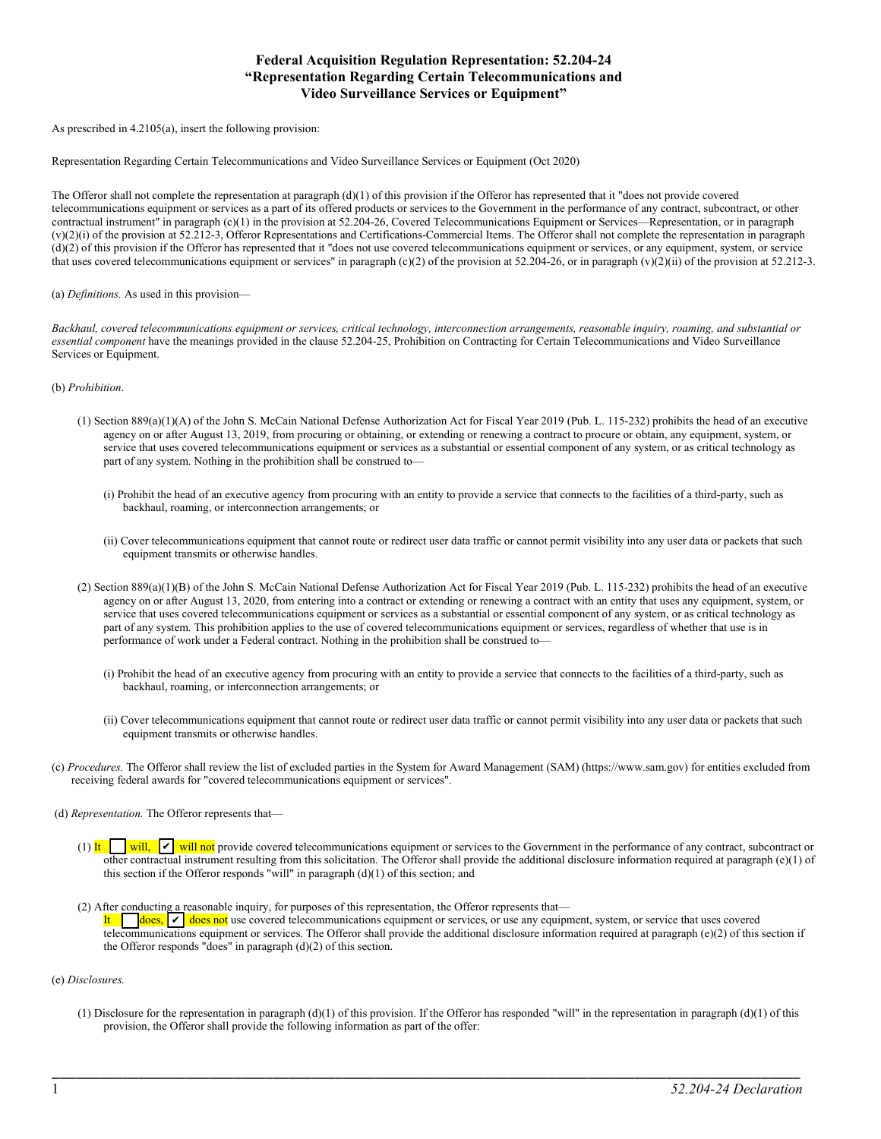## **Federal Acquisition Regulation Representation: 52.204-24 "Representation Regarding Certain Telecommunications and Video Surveillance Services or Equipment"**

As prescribed in 4.2105(a), insert the following provision:

Representation Regarding Certain Telecommunications and Video Surveillance Services or Equipment (Oct 2020)

The Offeror shall not complete the representation at paragraph  $(d)(1)$  of this provision if the Offeror has represented that it "does not provide covered telecommunications equipment or services as a part of its offered products or services to the Government in the performance of any contract, subcontract, or other contractual instrument" in paragraph (c)(1) in the provision at 52.204-26, Covered Telecommunications Equipment or Services—Representation, or in paragraph (v)(2)(i) of the provision at 52.212-3, Offeror Representations and Certifications-Commercial Items. The Offeror shall not complete the representation in paragraph (d)(2) of this provision if the Offeror has represented that it "does not use covered telecommunications equipment or services, or any equipment, system, or service that uses covered telecommunications equipment or services" in paragraph (c)(2) of the provision at 52.204-26, or in paragraph (v)(2)(ii) of the provision at 52.212-3.

(a) *Definitions.* As used in this provision—

*Backhaul, covered telecommunications equipment or services, critical technology, interconnection arrangements, reasonable inquiry, roaming, and substantial or essential component* have the meanings provided in the clause 52.204-25, Prohibition on Contracting for Certain Telecommunications and Video Surveillance Services or Equipment.

(b) *Prohibition*.

- (1) Section 889(a)(1)(A) of the John S. McCain National Defense Authorization Act for Fiscal Year 2019 (Pub. L. 115-232) prohibits the head of an executive agency on or after August 13, 2019, from procuring or obtaining, or extending or renewing a contract to procure or obtain, any equipment, system, or service that uses covered telecommunications equipment or services as a substantial or essential component of any system, or as critical technology as part of any system. Nothing in the prohibition shall be construed to—
	- (i) Prohibit the head of an executive agency from procuring with an entity to provide a service that connects to the facilities of a third-party, such as backhaul, roaming, or interconnection arrangements; or
	- (ii) Cover telecommunications equipment that cannot route or redirect user data traffic or cannot permit visibility into any user data or packets that such equipment transmits or otherwise handles.
- (2) Section 889(a)(1)(B) of the John S. McCain National Defense Authorization Act for Fiscal Year 2019 (Pub. L. 115-232) prohibits the head of an executive agency on or after August 13, 2020, from entering into a contract or extending or renewing a contract with an entity that uses any equipment, system, or service that uses covered telecommunications equipment or services as a substantial or essential component of any system, or as critical technology as part of any system. This prohibition applies to the use of covered telecommunications equipment or services, regardless of whether that use is in performance of work under a Federal contract. Nothing in the prohibition shall be construed to—
	- (i) Prohibit the head of an executive agency from procuring with an entity to provide a service that connects to the facilities of a third-party, such as backhaul, roaming, or interconnection arrangements; or
	- (ii) Cover telecommunications equipment that cannot route or redirect user data traffic or cannot permit visibility into any user data or packets that such equipment transmits or otherwise handles.
- (c) *Procedures.* The Offeror shall review the list of excluded parties in the System for Award Management (SAM) (https://www.sam.gov) for entities excluded from receiving federal awards for "covered telecommunications equipment or services".

(d) *Representation.* The Offeror represents that—

(1) It will,  $|v|$  will not provide covered telecommunications equipment or services to the Government in the performance of any contract, subcontract or other contractual instrument resulting from this solicitation. The Offeror shall provide the additional disclosure information required at paragraph (e)(1) of this section if the Offeror responds "will" in paragraph (d)(1) of this section; and

(2) After conducting a reasonable inquiry, for purposes of this representation, the Offeror represents that— It  $\lvert \cdot \rvert$  does not use covered telecommunications equipment or services, or use any equipment, system, or service that uses covered telecommunications equipment or services. The Offeror shall provide the additional disclosure information required at paragraph (e)(2) of this section if the Offeror responds "does" in paragraph (d)(2) of this section.

## (e) *Disclosures.*

(1) Disclosure for the representation in paragraph (d)(1) of this provision. If the Offeror has responded "will" in the representation in paragraph (d)(1) of this provision, the Offeror shall provide the following information as part of the offer:

\_\_\_\_\_\_\_\_\_\_\_\_\_\_\_\_\_\_\_\_\_\_\_\_\_\_\_\_\_\_\_\_\_\_\_\_\_\_\_\_\_\_\_\_\_\_\_\_\_\_\_\_\_\_\_\_\_\_\_\_\_\_\_\_\_\_\_\_\_\_\_\_\_\_\_\_\_\_\_\_\_\_\_\_\_\_\_\_\_\_\_\_\_\_\_